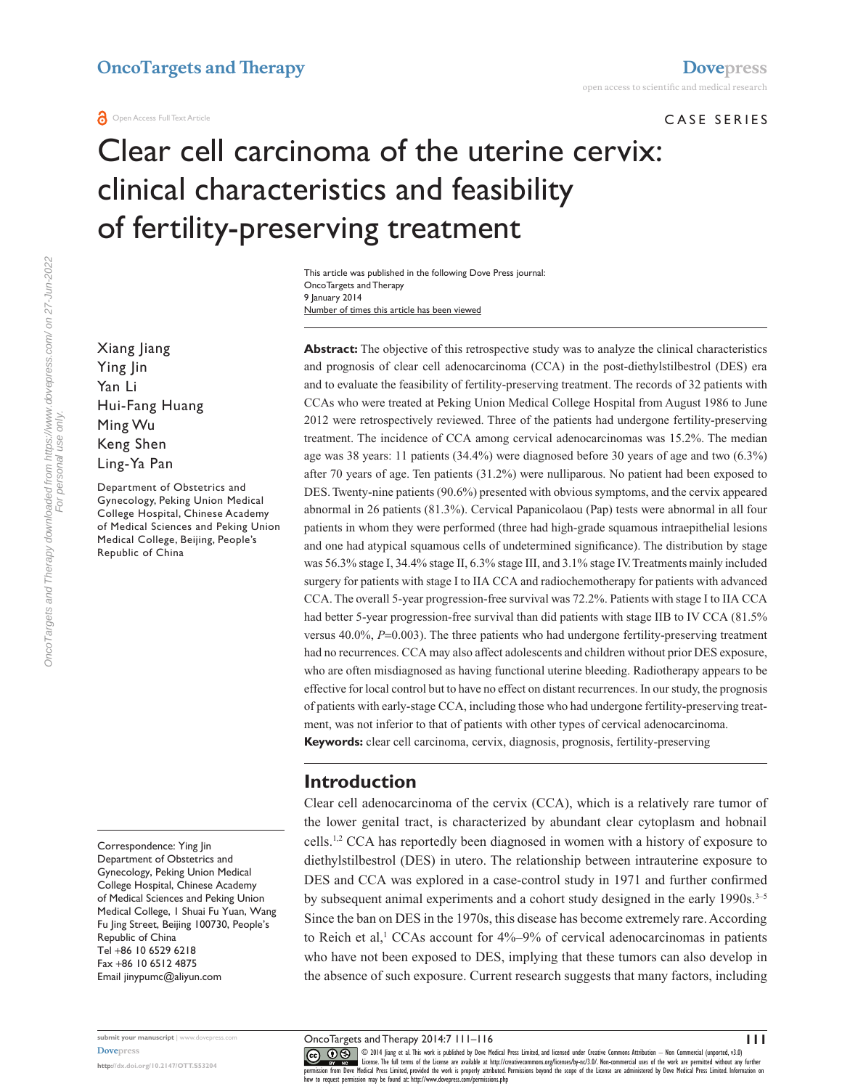#### CASE SERIES

# Clear cell carcinoma of the uterine cervix: clinical characteristics and feasibility of fertility-preserving treatment

Number of times this article has been viewed This article was published in the following Dove Press journal: OncoTargets and Therapy 9 January 2014

Xiang Jiang Ying Jin Yan Li Hui-Fang Huang Ming Wu Keng Shen Ling-Ya Pan

Department of Obstetrics and Gynecology, Peking Union Medical College Hospital, Chinese Academy of Medical Sciences and Peking Union Medical College, Beijing, People's Republic of China

Correspondence: Ying Jin Department of Obstetrics and Gynecology, Peking Union Medical College Hospital, Chinese Academy of Medical Sciences and Peking Union Medical College, 1 Shuai Fu Yuan, Wang Fu Jing Street, Beijing 100730, People's Republic of China Tel +86 10 6529 6218 Fax +86 10 6512 4875 Email [jinypumc@aliyun.com](mailto:jinypumc@aliyun.com)

**Abstract:** The objective of this retrospective study was to analyze the clinical characteristics and prognosis of clear cell adenocarcinoma (CCA) in the post-diethylstilbestrol (DES) era and to evaluate the feasibility of fertility-preserving treatment. The records of 32 patients with CCAs who were treated at Peking Union Medical College Hospital from August 1986 to June 2012 were retrospectively reviewed. Three of the patients had undergone fertility-preserving treatment. The incidence of CCA among cervical adenocarcinomas was 15.2%. The median age was 38 years: 11 patients (34.4%) were diagnosed before 30 years of age and two (6.3%) after 70 years of age. Ten patients (31.2%) were nulliparous. No patient had been exposed to DES. Twenty-nine patients (90.6%) presented with obvious symptoms, and the cervix appeared abnormal in 26 patients (81.3%). Cervical Papanicolaou (Pap) tests were abnormal in all four patients in whom they were performed (three had high-grade squamous intraepithelial lesions and one had atypical squamous cells of undetermined significance). The distribution by stage was 56.3% stage I, 34.4% stage II, 6.3% stage III, and 3.1% stage IV. Treatments mainly included surgery for patients with stage I to IIA CCA and radiochemotherapy for patients with advanced CCA. The overall 5-year progression-free survival was 72.2%. Patients with stage I to IIA CCA had better 5-year progression-free survival than did patients with stage IIB to IV CCA (81.5%) versus 40.0%, *P*=0.003). The three patients who had undergone fertility-preserving treatment had no recurrences. CCA may also affect adolescents and children without prior DES exposure, who are often misdiagnosed as having functional uterine bleeding. Radiotherapy appears to be effective for local control but to have no effect on distant recurrences. In our study, the prognosis of patients with early-stage CCA, including those who had undergone fertility-preserving treatment, was not inferior to that of patients with other types of cervical adenocarcinoma. **Keywords:** clear cell carcinoma, cervix, diagnosis, prognosis, fertility-preserving

# **Introduction**

Clear cell adenocarcinoma of the cervix (CCA), which is a relatively rare tumor of the lower genital tract, is characterized by abundant clear cytoplasm and hobnail cells.1,2 CCA has reportedly been diagnosed in women with a history of exposure to diethylstilbestrol (DES) in utero. The relationship between intrauterine exposure to DES and CCA was explored in a case-control study in 1971 and further confirmed by subsequent animal experiments and a cohort study designed in the early 1990s.<sup>3-5</sup> Since the ban on DES in the 1970s, this disease has become extremely rare. According to Reich et al,<sup>1</sup> CCAs account for  $4\%$ –9% of cervical adenocarcinomas in patients who have not been exposed to DES, implying that these tumors can also develop in the absence of such exposure. Current research suggests that many factors, including

OncoTargets and Therapy 2014:7 111–116

**<http://dx.doi.org/10.2147/OTT.S53204>**

**submit your manuscript** | <www.dovepress.com>

CO ODI 4 Jiang et al. This work is published by Dove Medical Press Limited, and licensed under Creative Commons Attribution - Non Commercial (unported, v3.0)<br> [permission from Dove M](http://www.dovepress.com/permissions.php)edical Press Limited, provided the work i how to request permission may be found at: http://www.dovepress.com/permissions.php

**111**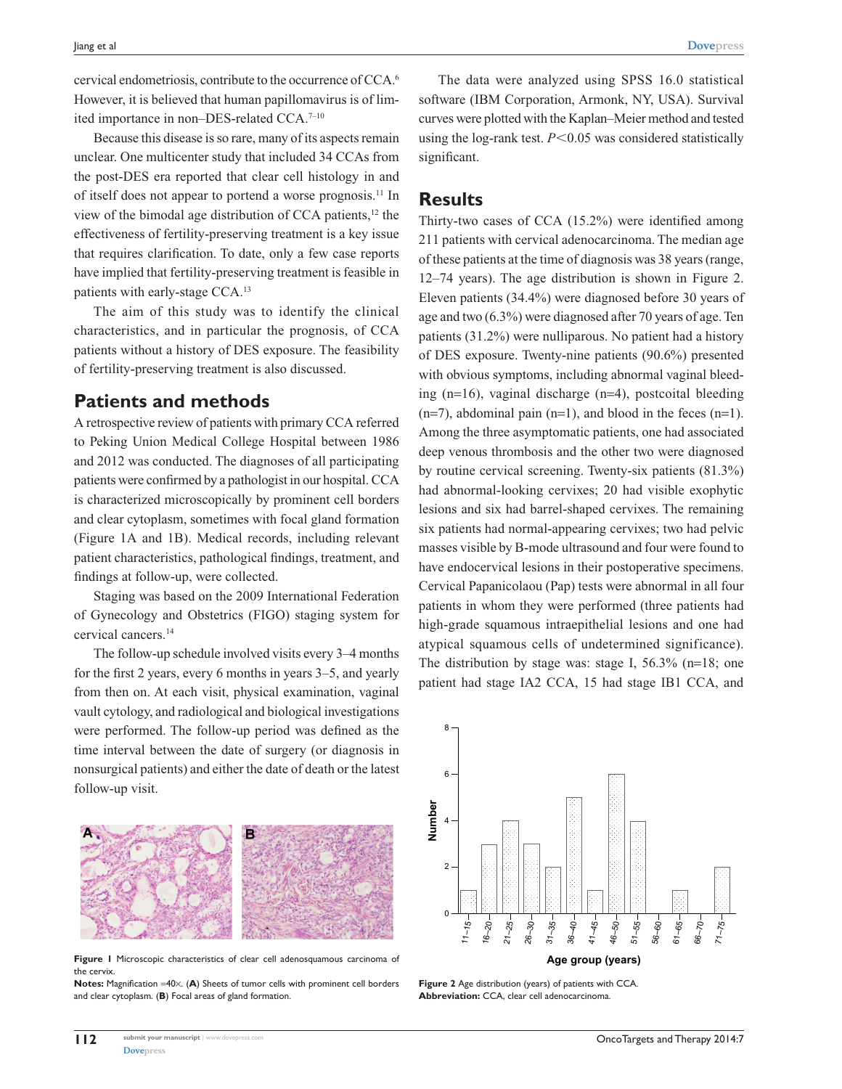cervical endometriosis, contribute to the occurrence of CCA.6 However, it is believed that human papillomavirus is of limited importance in non-DES-related CCA.<sup>7-10</sup>

Because this disease is so rare, many of its aspects remain unclear. One multicenter study that included 34 CCAs from the post-DES era reported that clear cell histology in and of itself does not appear to portend a worse prognosis.11 In view of the bimodal age distribution of CCA patients,12 the effectiveness of fertility-preserving treatment is a key issue that requires clarification. To date, only a few case reports have implied that fertility-preserving treatment is feasible in patients with early-stage CCA.13

The aim of this study was to identify the clinical characteristics, and in particular the prognosis, of CCA patients without a history of DES exposure. The feasibility of fertility-preserving treatment is also discussed.

## **Patients and methods**

A retrospective review of patients with primary CCA referred to Peking Union Medical College Hospital between 1986 and 2012 was conducted. The diagnoses of all participating patients were confirmed by a pathologist in our hospital. CCA is characterized microscopically by prominent cell borders and clear cytoplasm, sometimes with focal gland formation (Figure 1A and 1B). Medical records, including relevant patient characteristics, pathological findings, treatment, and findings at follow-up, were collected.

Staging was based on the 2009 International Federation of Gynecology and Obstetrics (FIGO) staging system for cervical cancers.14

The follow-up schedule involved visits every 3–4 months for the first 2 years, every 6 months in years 3–5, and yearly from then on. At each visit, physical examination, vaginal vault cytology, and radiological and biological investigations were performed. The follow-up period was defined as the time interval between the date of surgery (or diagnosis in nonsurgical patients) and either the date of death or the latest follow-up visit.



**Figure 1** Microscopic characteristics of clear cell adenosquamous carcinoma of the cervix.

**Notes:** Magnification =40×. (**A**) Sheets of tumor cells with prominent cell borders and clear cytoplasm. (**B**) Focal areas of gland formation.

The data were analyzed using SPSS 16.0 statistical software (IBM Corporation, Armonk, NY, USA). Survival curves were plotted with the Kaplan–Meier method and tested using the log-rank test.  $P<0.05$  was considered statistically significant.

### **Results**

Thirty-two cases of CCA (15.2%) were identified among 211 patients with cervical adenocarcinoma. The median age of these patients at the time of diagnosis was 38 years (range, 12–74 years). The age distribution is shown in Figure 2. Eleven patients (34.4%) were diagnosed before 30 years of age and two (6.3%) were diagnosed after 70 years of age. Ten patients (31.2%) were nulliparous. No patient had a history of DES exposure. Twenty-nine patients (90.6%) presented with obvious symptoms, including abnormal vaginal bleeding (n=16), vaginal discharge (n=4), postcoital bleeding  $(n=7)$ , abdominal pain  $(n=1)$ , and blood in the feces  $(n=1)$ . Among the three asymptomatic patients, one had associated deep venous thrombosis and the other two were diagnosed by routine cervical screening. Twenty-six patients (81.3%) had abnormal-looking cervixes; 20 had visible exophytic lesions and six had barrel-shaped cervixes. The remaining six patients had normal-appearing cervixes; two had pelvic masses visible by B-mode ultrasound and four were found to have endocervical lesions in their postoperative specimens. Cervical Papanicolaou (Pap) tests were abnormal in all four patients in whom they were performed (three patients had high-grade squamous intraepithelial lesions and one had atypical squamous cells of undetermined significance). The distribution by stage was: stage I, 56.3% (n=18; one patient had stage IA2 CCA, 15 had stage IB1 CCA, and



**Figure 2** Age distribution (years) of patients with CCA. **Abbreviation:** CCA, clear cell adenocarcinoma.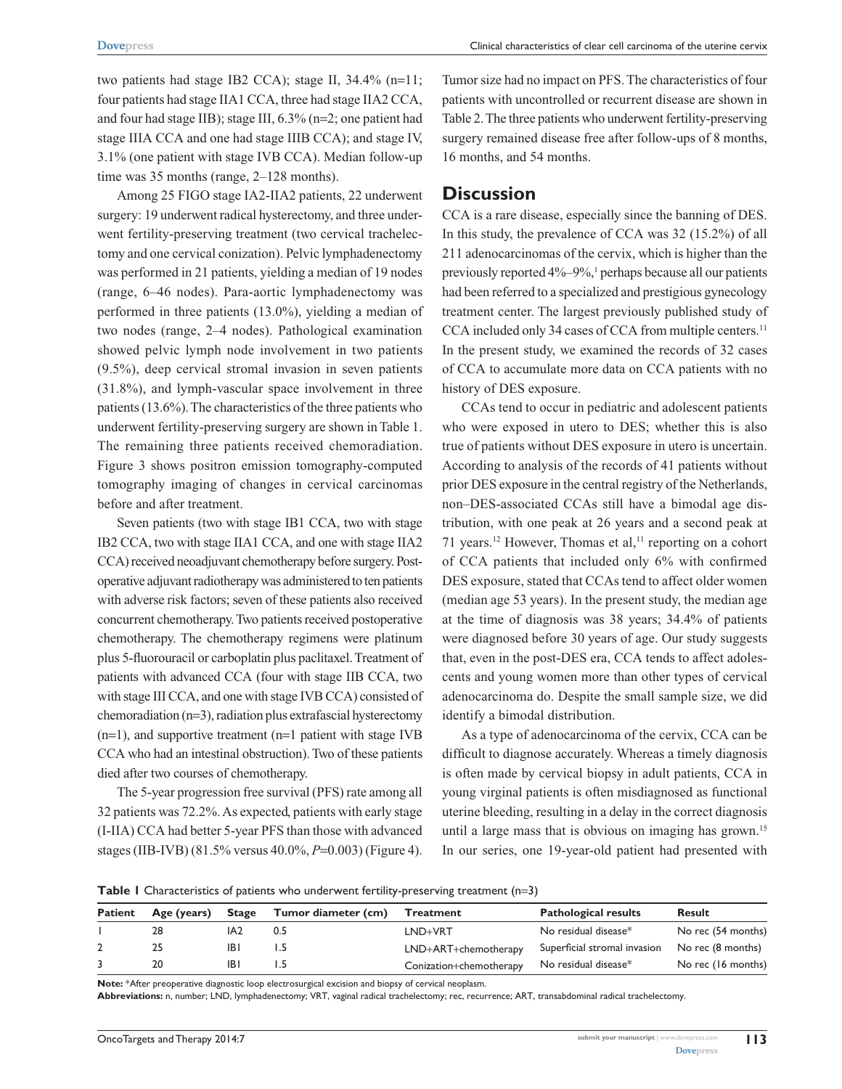two patients had stage IB2 CCA); stage II,  $34.4\%$  (n=11; four patients had stage IIA1 CCA, three had stage IIA2 CCA, and four had stage IIB); stage III, 6.3% (n=2; one patient had stage IIIA CCA and one had stage IIIB CCA); and stage IV, 3.1% (one patient with stage IVB CCA). Median follow-up time was 35 months (range, 2–128 months).

Among 25 FIGO stage IA2-IIA2 patients, 22 underwent surgery: 19 underwent radical hysterectomy, and three underwent fertility-preserving treatment (two cervical trachelectomy and one cervical conization). Pelvic lymphadenectomy was performed in 21 patients, yielding a median of 19 nodes (range, 6–46 nodes). Para-aortic lymphadenectomy was performed in three patients (13.0%), yielding a median of two nodes (range, 2–4 nodes). Pathological examination showed pelvic lymph node involvement in two patients (9.5%), deep cervical stromal invasion in seven patients (31.8%), and lymph-vascular space involvement in three patients (13.6%). The characteristics of the three patients who underwent fertility-preserving surgery are shown in Table 1. The remaining three patients received chemoradiation. Figure 3 shows positron emission tomography-computed tomography imaging of changes in cervical carcinomas before and after treatment.

Seven patients (two with stage IB1 CCA, two with stage IB2 CCA, two with stage IIA1 CCA, and one with stage IIA2 CCA) received neoadjuvant chemotherapy before surgery. Postoperative adjuvant radiotherapy was administered to ten patients with adverse risk factors; seven of these patients also received concurrent chemotherapy. Two patients received postoperative chemotherapy. The chemotherapy regimens were platinum plus 5-fluorouracil or carboplatin plus paclitaxel. Treatment of patients with advanced CCA (four with stage IIB CCA, two with stage III CCA, and one with stage IVB CCA) consisted of chemoradiation (n=3), radiation plus extrafascial hysterectomy (n=1), and supportive treatment (n=1 patient with stage IVB CCA who had an intestinal obstruction). Two of these patients died after two courses of chemotherapy.

The 5-year progression free survival (PFS) rate among all 32 patients was 72.2%. As expected, patients with early stage (I-IIA) CCA had better 5-year PFS than those with advanced stages (IIB-IVB) (81.5% versus 40.0%, *P*=0.003) (Figure 4). Tumor size had no impact on PFS. The characteristics of four patients with uncontrolled or recurrent disease are shown in Table 2. The three patients who underwent fertility-preserving surgery remained disease free after follow-ups of 8 months, 16 months, and 54 months.

## **Discussion**

CCA is a rare disease, especially since the banning of DES. In this study, the prevalence of CCA was 32 (15.2%) of all 211 adenocarcinomas of the cervix, which is higher than the previously reported 4%–9%,<sup>1</sup> perhaps because all our patients had been referred to a specialized and prestigious gynecology treatment center. The largest previously published study of CCA included only 34 cases of CCA from multiple centers.<sup>11</sup> In the present study, we examined the records of 32 cases of CCA to accumulate more data on CCA patients with no history of DES exposure.

CCAs tend to occur in pediatric and adolescent patients who were exposed in utero to DES; whether this is also true of patients without DES exposure in utero is uncertain. According to analysis of the records of 41 patients without prior DES exposure in the central registry of the Netherlands, non–DES-associated CCAs still have a bimodal age distribution, with one peak at 26 years and a second peak at 71 years.<sup>12</sup> However, Thomas et al,<sup>11</sup> reporting on a cohort of CCA patients that included only 6% with confirmed DES exposure, stated that CCAs tend to affect older women (median age 53 years). In the present study, the median age at the time of diagnosis was 38 years; 34.4% of patients were diagnosed before 30 years of age. Our study suggests that, even in the post-DES era, CCA tends to affect adolescents and young women more than other types of cervical adenocarcinoma do. Despite the small sample size, we did identify a bimodal distribution.

As a type of adenocarcinoma of the cervix, CCA can be difficult to diagnose accurately. Whereas a timely diagnosis is often made by cervical biopsy in adult patients, CCA in young virginal patients is often misdiagnosed as functional uterine bleeding, resulting in a delay in the correct diagnosis until a large mass that is obvious on imaging has grown.<sup>15</sup> In our series, one 19-year-old patient had presented with

**Table 1** Characteristics of patients who underwent fertility-preserving treatment (n=3)

| <b>Patient</b> | Age (years) | <b>Stage</b> | Tumor diameter (cm) | Treatment               | <b>Pathological results</b>  | <b>Result</b>      |
|----------------|-------------|--------------|---------------------|-------------------------|------------------------------|--------------------|
|                | 28          | IA2          | 0.5                 | LND+VRT                 | No residual disease*         | No rec (54 months) |
|                |             | IB I         | د. ا                | LND+ART+chemotherapy    | Superficial stromal invasion | No rec (8 months)  |
|                | 20          | IB I         |                     | Conization+chemotherapy | No residual disease*         | No rec (16 months) |

**Note:** \*After preoperative diagnostic loop electrosurgical excision and biopsy of cervical neoplasm.

**Abbreviations:** n, number; LND, lymphadenectomy; VRT, vaginal radical trachelectomy; rec, recurrence; ART, transabdominal radical trachelectomy.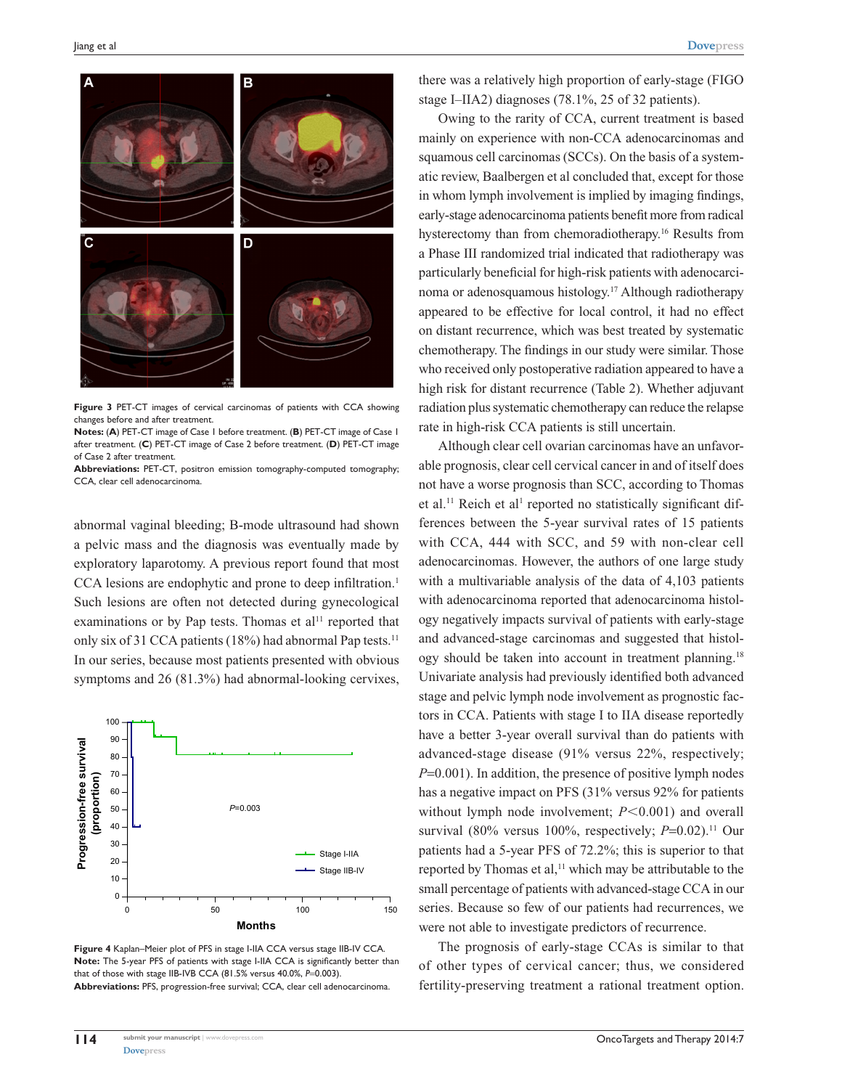

**Figure 3** PET-CT images of cervical carcinomas of patients with CCA showing changes before and after treatment.

**Notes:** (**A**) PET-CT image of Case 1 before treatment. (**B**) PET-CT image of Case 1 after treatment. (**C**) PET-CT image of Case 2 before treatment. (**D**) PET-CT image of Case 2 after treatment.

**Abbreviations:** PET-CT, positron emission tomography-computed tomography; CCA, clear cell adenocarcinoma.

abnormal vaginal bleeding; B-mode ultrasound had shown a pelvic mass and the diagnosis was eventually made by exploratory laparotomy. A previous report found that most CCA lesions are endophytic and prone to deep infiltration.<sup>1</sup> Such lesions are often not detected during gynecological examinations or by Pap tests. Thomas et  $al<sup>11</sup>$  reported that only six of 31 CCA patients (18%) had abnormal Pap tests.<sup>11</sup> In our series, because most patients presented with obvious symptoms and 26 (81.3%) had abnormal-looking cervixes,



**Figure 4** Kaplan–Meier plot of PFS in stage I-IIA CCA versus stage IIB-IV CCA. **Note:** The 5-year PFS of patients with stage I-IIA CCA is significantly better than that of those with stage IIB-IVB CCA (81.5% versus 40.0%, *P*=0.003). **Abbreviations:** PFS, progression-free survival; CCA, clear cell adenocarcinoma.

there was a relatively high proportion of early-stage (FIGO stage I–IIA2) diagnoses (78.1%, 25 of 32 patients).

Owing to the rarity of CCA, current treatment is based mainly on experience with non-CCA adenocarcinomas and squamous cell carcinomas (SCCs). On the basis of a systematic review, Baalbergen et al concluded that, except for those in whom lymph involvement is implied by imaging findings, early-stage adenocarcinoma patients benefit more from radical hysterectomy than from chemoradiotherapy.16 Results from a Phase III randomized trial indicated that radiotherapy was particularly beneficial for high-risk patients with adenocarcinoma or adenosquamous histology.17 Although radiotherapy appeared to be effective for local control, it had no effect on distant recurrence, which was best treated by systematic chemotherapy. The findings in our study were similar. Those who received only postoperative radiation appeared to have a high risk for distant recurrence (Table 2). Whether adjuvant radiation plus systematic chemotherapy can reduce the relapse rate in high-risk CCA patients is still uncertain.

Although clear cell ovarian carcinomas have an unfavorable prognosis, clear cell cervical cancer in and of itself does not have a worse prognosis than SCC, according to Thomas et al.<sup>11</sup> Reich et al<sup>1</sup> reported no statistically significant differences between the 5-year survival rates of 15 patients with CCA, 444 with SCC, and 59 with non-clear cell adenocarcinomas. However, the authors of one large study with a multivariable analysis of the data of 4,103 patients with adenocarcinoma reported that adenocarcinoma histology negatively impacts survival of patients with early-stage and advanced-stage carcinomas and suggested that histology should be taken into account in treatment planning.18 Univariate analysis had previously identified both advanced stage and pelvic lymph node involvement as prognostic factors in CCA. Patients with stage I to IIA disease reportedly have a better 3-year overall survival than do patients with advanced-stage disease (91% versus 22%, respectively; *P*=0.001). In addition, the presence of positive lymph nodes has a negative impact on PFS (31% versus 92% for patients without lymph node involvement;  $P \le 0.001$ ) and overall survival (80% versus 100%, respectively;  $P=0.02$ ).<sup>11</sup> Our patients had a 5-year PFS of 72.2%; this is superior to that reported by Thomas et al,<sup>11</sup> which may be attributable to the small percentage of patients with advanced-stage CCA in our series. Because so few of our patients had recurrences, we were not able to investigate predictors of recurrence.

The prognosis of early-stage CCAs is similar to that of other types of cervical cancer; thus, we considered fertility-preserving treatment a rational treatment option.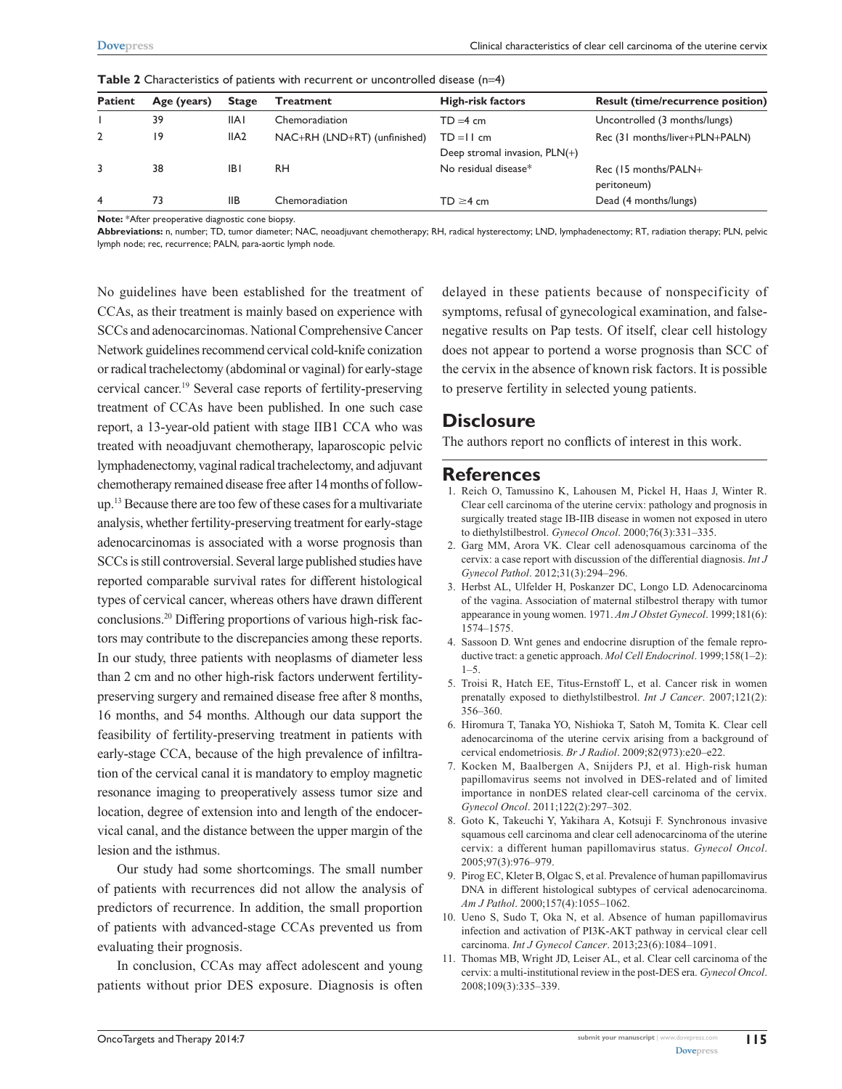| <b>Patient</b> | Age (years) | <b>Stage</b>     | Treatment                    | <b>High-risk factors</b>        | <b>Result (time/recurrence position)</b> |
|----------------|-------------|------------------|------------------------------|---------------------------------|------------------------------------------|
|                | 39          | <b>IIAI</b>      | Chemoradiation               | $TD = 4 \, \text{cm}$           | Uncontrolled (3 months/lungs)            |
|                | 19          | IIA <sub>2</sub> | NAC+RH (LND+RT) (unfinished) | $TD = II$ cm                    | Rec (31 months/liver+PLN+PALN)           |
|                |             |                  |                              | Deep stromal invasion, $PLN(+)$ |                                          |
|                | 38          | IBI              | <b>RH</b>                    | No residual disease*            | Rec (15 months/PALN+                     |
|                |             |                  |                              |                                 | peritoneum)                              |
| 4              | 73          | <b>IIB</b>       | Chemoradiation               | $TD \geq 4$ cm                  | Dead (4 months/lungs)                    |

**Table 2** Characteristics of patients with recurrent or uncontrolled disease (n=4)

**Note:** \*After preoperative diagnostic cone biopsy.

**Abbreviations:** n, number; TD, tumor diameter; NAC, neoadjuvant chemotherapy; RH, radical hysterectomy; LND, lymphadenectomy; RT, radiation therapy; PLN, pelvic lymph node; rec, recurrence; PALN, para-aortic lymph node.

No guidelines have been established for the treatment of CCAs, as their treatment is mainly based on experience with SCCs and adenocarcinomas. National Comprehensive Cancer Network guidelines recommend cervical cold-knife conization or radical trachelectomy (abdominal or vaginal) for early-stage cervical cancer.19 Several case reports of fertility-preserving treatment of CCAs have been published. In one such case report, a 13-year-old patient with stage IIB1 CCA who was treated with neoadjuvant chemotherapy, laparoscopic pelvic lymphadenectomy, vaginal radical trachelectomy, and adjuvant chemotherapy remained disease free after 14 months of followup.13 Because there are too few of these cases for a multivariate analysis, whether fertility-preserving treatment for early-stage adenocarcinomas is associated with a worse prognosis than SCCs is still controversial. Several large published studies have reported comparable survival rates for different histological types of cervical cancer, whereas others have drawn different conclusions.20 Differing proportions of various high-risk factors may contribute to the discrepancies among these reports. In our study, three patients with neoplasms of diameter less than 2 cm and no other high-risk factors underwent fertilitypreserving surgery and remained disease free after 8 months, 16 months, and 54 months. Although our data support the feasibility of fertility-preserving treatment in patients with early-stage CCA, because of the high prevalence of infiltration of the cervical canal it is mandatory to employ magnetic resonance imaging to preoperatively assess tumor size and location, degree of extension into and length of the endocervical canal, and the distance between the upper margin of the lesion and the isthmus.

Our study had some shortcomings. The small number of patients with recurrences did not allow the analysis of predictors of recurrence. In addition, the small proportion of patients with advanced-stage CCAs prevented us from evaluating their prognosis.

In conclusion, CCAs may affect adolescent and young patients without prior DES exposure. Diagnosis is often

delayed in these patients because of nonspecificity of symptoms, refusal of gynecological examination, and falsenegative results on Pap tests. Of itself, clear cell histology does not appear to portend a worse prognosis than SCC of the cervix in the absence of known risk factors. It is possible to preserve fertility in selected young patients.

# **Disclosure**

The authors report no conflicts of interest in this work.

#### **References**

- 1. Reich O, Tamussino K, Lahousen M, Pickel H, Haas J, Winter R. Clear cell carcinoma of the uterine cervix: pathology and prognosis in surgically treated stage IB-IIB disease in women not exposed in utero to diethylstilbestrol. *Gynecol Oncol*. 2000;76(3):331–335.
- 2. Garg MM, Arora VK. Clear cell adenosquamous carcinoma of the cervix: a case report with discussion of the differential diagnosis. *Int J Gynecol Pathol*. 2012;31(3):294–296.
- 3. Herbst AL, Ulfelder H, Poskanzer DC, Longo LD. Adenocarcinoma of the vagina. Association of maternal stilbestrol therapy with tumor appearance in young women. 1971. *Am J Obstet Gynecol*. 1999;181(6): 1574–1575.
- 4. Sassoon D. Wnt genes and endocrine disruption of the female reproductive tract: a genetic approach. *Mol Cell Endocrinol*. 1999;158(1–2):  $1 - 5$
- 5. Troisi R, Hatch EE, Titus-Ernstoff L, et al. Cancer risk in women prenatally exposed to diethylstilbestrol. *Int J Cancer*. 2007;121(2): 356–360.
- 6. Hiromura T, Tanaka YO, Nishioka T, Satoh M, Tomita K. Clear cell adenocarcinoma of the uterine cervix arising from a background of cervical endometriosis. *Br J Radiol*. 2009;82(973):e20–e22.
- 7. Kocken M, Baalbergen A, Snijders PJ, et al. High-risk human papillomavirus seems not involved in DES-related and of limited importance in nonDES related clear-cell carcinoma of the cervix. *Gynecol Oncol*. 2011;122(2):297–302.
- 8. Goto K, Takeuchi Y, Yakihara A, Kotsuji F. Synchronous invasive squamous cell carcinoma and clear cell adenocarcinoma of the uterine cervix: a different human papillomavirus status. *Gynecol Oncol*. 2005;97(3):976–979.
- 9. Pirog EC, Kleter B, Olgac S, et al. Prevalence of human papillomavirus DNA in different histological subtypes of cervical adenocarcinoma. *Am J Pathol*. 2000;157(4):1055–1062.
- 10. Ueno S, Sudo T, Oka N, et al. Absence of human papillomavirus infection and activation of PI3K-AKT pathway in cervical clear cell carcinoma. *Int J Gynecol Cancer*. 2013;23(6):1084–1091.
- 11. Thomas MB, Wright JD, Leiser AL, et al. Clear cell carcinoma of the cervix: a multi-institutional review in the post-DES era. *Gynecol Oncol*. 2008;109(3):335–339.